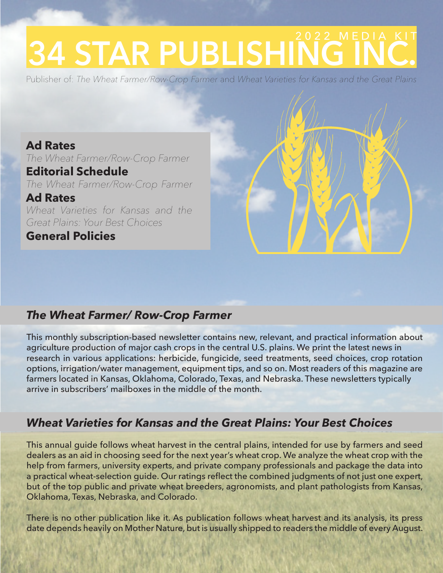# **34 STAR PUBLISHING**

Publisher of: *The Wheat Farmer/Row-Crop Farmer* and *Wheat Varieties for Kansas and the Great Plains*

**Ad Rates**  *The Wheat Farmer/Row-Crop Farmer* **Editorial Schedule**  *The Wheat Farmer/Row-Crop Farmer*  **Ad Rates**  *Wheat Varieties for Kansas and the Great Plains: Your Best Choices*

**General Policies** 



#### *The Wheat Farmer/ Row-Crop Farmer*

This monthly subscription-based newsletter contains new, relevant, and practical information about agriculture production of major cash crops in the central U.S. plains. We print the latest news in research in various applications: herbicide, fungicide, seed treatments, seed choices, crop rotation options, irrigation/water management, equipment tips, and so on. Most readers of this magazine are farmers located in Kansas, Oklahoma, Colorado, Texas, and Nebraska. These newsletters typically arrive in subscribers' mailboxes in the middle of the month.

#### *Wheat Varieties for Kansas and the Great Plains: Your Best Choices*

This annual guide follows wheat harvest in the central plains, intended for use by farmers and seed dealers as an aid in choosing seed for the next year's wheat crop. We analyze the wheat crop with the help from farmers, university experts, and private company professionals and package the data into a practical wheat-selection guide. Our ratings reflect the combined judgments of not just one expert, but of the top public and private wheat breeders, agronomists, and plant pathologists from Kansas, Oklahoma, Texas, Nebraska, and Colorado.

There is no other publication like it. As publication follows wheat harvest and its analysis, its press date depends heavily on Mother Nature, but is usually shipped to readers the middle of every August.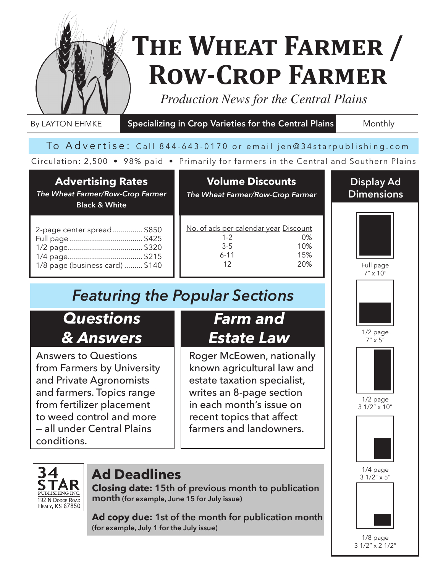

## **The Wheat Farmer / Row-Crop Farmer**

I

*Production News for the Central Plains*

By LAYTON EHMKE Specializing in Crop Varieties for the Central Plains Monthly

#### To Advertise: Call 844-643-0170 or email jen@34starpublishing.com

#### Circulation: 2,500 • 98% paid • Primarily for farmers in the Central and Southern Plains

#### **Advertising Rates**

*The Wheat Farmer/Row-Crop Farmer* **Black & White**

#### **Volume Discounts** *The Wheat Farmer/Row-Crop Farmer*

| <u>No. of ads per calendar year Discount</u> |     |
|----------------------------------------------|-----|
| $1 - 2$                                      | በ%  |
| $3-5$                                        | 10% |
| $6 - 11$                                     | 15% |
| 12                                           | 20% |
|                                              |     |

## *Featuring the Popular Sections*

### *Questions & Answers*

Answers to Questions from Farmers by University and Private Agronomists and farmers. Topics range from fertilizer placement to weed control and more — all under Central Plains conditions.

## *Farm and Estate Law*

Roger McEowen, nationally known agricultural law and estate taxation specialist, writes an 8-page section in each month's issue on recent topics that affect farmers and landowners.



#### **Ad Deadlines**

**Closing date: 15th of previous month to publication month (for example, June 15 for July issue)**

**Ad copy due: 1st of the month for publication month (for example, July 1 for the July issue)**







1/2 page  $7'' \times 5''$ 



 $1/2$  page 3 1/2" x 10"





1/8 page 3 1/2" x 2 1/2"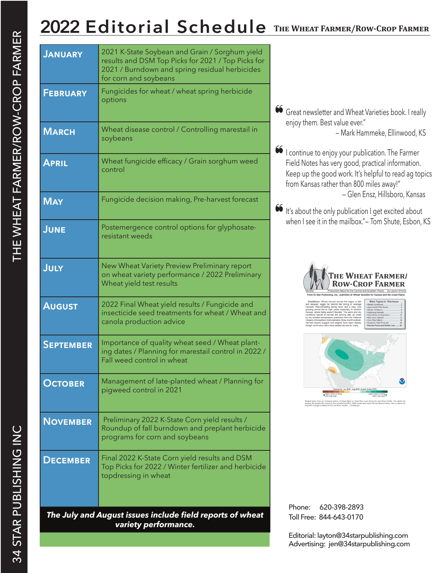## **2022 Editorial Schedule The Wheat Farmer/Row-Crop Farmer**

| <b>JANUARY</b>   | 2021 K-State Soybean and Grain / Sorghum yield                                                                                        |                                                                                                                                                                                                                                                             |                                                                                                                                                                                                                                                                                      |
|------------------|---------------------------------------------------------------------------------------------------------------------------------------|-------------------------------------------------------------------------------------------------------------------------------------------------------------------------------------------------------------------------------------------------------------|--------------------------------------------------------------------------------------------------------------------------------------------------------------------------------------------------------------------------------------------------------------------------------------|
|                  | results and DSM Top Picks for 2021 / Top Picks for<br>2021 / Burndown and spring residual herbicides<br>for corn and soybeans         |                                                                                                                                                                                                                                                             |                                                                                                                                                                                                                                                                                      |
| <b>FEBRUARY</b>  | Fungicides for wheat / wheat spring herbicide<br>options                                                                              |                                                                                                                                                                                                                                                             |                                                                                                                                                                                                                                                                                      |
|                  |                                                                                                                                       | 66 Great newsletter and Wheat Varieties book. I really                                                                                                                                                                                                      |                                                                                                                                                                                                                                                                                      |
| <b>MARCH</b>     | Wheat disease control / Controlling marestail in<br>soybeans                                                                          | enjoy them. Best value ever."                                                                                                                                                                                                                               |                                                                                                                                                                                                                                                                                      |
| <b>APRIL</b>     | Wheat fungicide efficacy / Grain sorghum weed<br>control                                                                              | 66 I continue to enjoy your publication. The Farmer<br>Field Notes has very good, practical information.<br>Keep up the good work. It's helpful to read ag topics<br>from Kansas rather than 800 miles away!"                                               |                                                                                                                                                                                                                                                                                      |
| <b>MAY</b>       | Fungicide decision making, Pre-harvest forecast                                                                                       | 66 It's about the only publication I get excited about                                                                                                                                                                                                      |                                                                                                                                                                                                                                                                                      |
| <b>JUNE</b>      | Postemergence control options for glyphosate-<br>resistant weeds                                                                      | when I see it in the mailbox."- Tom Shute, Esbon, KS                                                                                                                                                                                                        |                                                                                                                                                                                                                                                                                      |
| JULY             | New Wheat Variety Preview Preliminary report<br>on wheat variety performance / 2022 Preliminary<br>Wheat yield test results           |                                                                                                                                                                                                                                                             |                                                                                                                                                                                                                                                                                      |
| <b>AUGUST</b>    | 2022 Final Wheat yield results / Fungicide and<br>insecticide seed treatments for wheat / Wheat and<br>canola production advice       | nditions typical of harvest are arriving late, as noted<br>eanic Atmospheric Administration three-month outlook                                                                                                                                             | : Wheat harvest across the region is late<br>ed, laggin far behind the timing of average<br>I-setting spring rains, and a long, coo<br>eriod led to high vields especially in western<br>ent temperature prediction from the Nationa<br>reports suggest test weights have been stead |
| <b>SEPTEMBER</b> | Importance of quality wheat seed / Wheat plant-<br>ing dates / Planning for marestail control in 2022 /<br>Fall weed control in wheat |                                                                                                                                                                                                                                                             |                                                                                                                                                                                                                                                                                      |
| <b>OCTOBER</b>   | Management of late-planted wheat / Planning for<br>pigweed control in 2021                                                            | tigher chance of being<br>ded areas show an increased chance of being higher or lower than usual during the next three months. The darker thi<br>Sing, the greater the chance for the indicated condition. White areas have equal chances that are below, n |                                                                                                                                                                                                                                                                                      |
| <b>NOVEMBER</b>  | Preliminary 2022 K-State Corn yield results /<br>Roundup of fall burndown and preplant herbicide<br>programs for corn and soybeans    |                                                                                                                                                                                                                                                             |                                                                                                                                                                                                                                                                                      |
| <b>DECEMBER</b>  | Final 2022 K-State Corn yield results and DSM<br>Top Picks for 2022 / Winter fertilizer and herbicide<br>topdressing in wheat         |                                                                                                                                                                                                                                                             |                                                                                                                                                                                                                                                                                      |
|                  |                                                                                                                                       | Phone:<br>620-398-2893                                                                                                                                                                                                                                      |                                                                                                                                                                                                                                                                                      |
|                  | The July and August issues include field reports of wheat<br>variety performance.                                                     | Toll Free: 844-643-0170                                                                                                                                                                                                                                     |                                                                                                                                                                                                                                                                                      |
|                  |                                                                                                                                       | Editorial: layton@34starpublishing.com                                                                                                                                                                                                                      |                                                                                                                                                                                                                                                                                      |

Advertising: jen@34starpublishing.com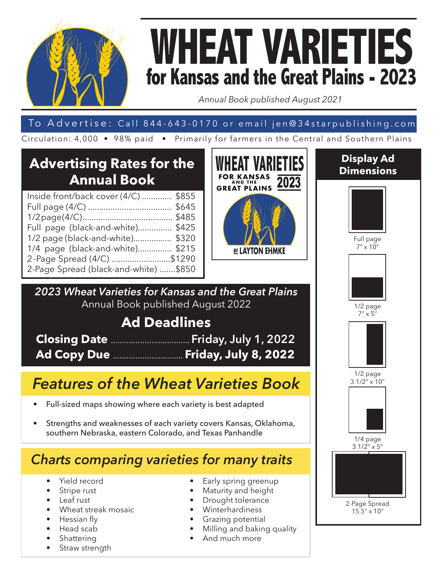

## **WHEAT VARIETIES for Kansas and the Great Plains - 2023**

*Annual Book published August 2021*

#### To Advertise: Call 844-643-0170 or email jen@34starpublishing.com

Circulation: 4,000 • 98% paid • Primarily for farmers in the Central and Southern Plains

#### **Advertising Rates for the Annual Book**

| Inside front/back cover (4/C)  \$855  |  |
|---------------------------------------|--|
|                                       |  |
|                                       |  |
| Full page (black-and-white) \$425     |  |
| 1/2 page (black-and-white) \$320      |  |
| 1/4 page (black-and-white) \$215      |  |
| 2-Page Spread (4/C) \$1290            |  |
| 2-Page Spread (black-and-white) \$850 |  |
|                                       |  |



*2023 Wheat Varieties for Kansas and the Great Plains* Annual Book published August 2022

#### **Ad Deadlines**

| Closing Date  Friday, July 1, 2022 |
|------------------------------------|
| Ad Copy Due  Friday, July 8, 2022  |

## *Features of the Wheat Varieties Book*

- Full-sized maps showing where each variety is best adapted
- Strengths and weaknesses of each variety covers Kansas, Oklahoma, southern Nebraska, eastern Colorado, and Texas Panhandle

### *Charts comparing varieties for many traits*

- Yield record
- Stripe rust
- Leaf rust
- Wheat streak mosaic
- Hessian fly
- Head scab
- Shattering
- Straw strength
- Early spring greenup
- 
- Maturity and height
- Drought tolerance
- **Winterhardiness**
- Grazing potential
- Milling and baking quality
- And much more